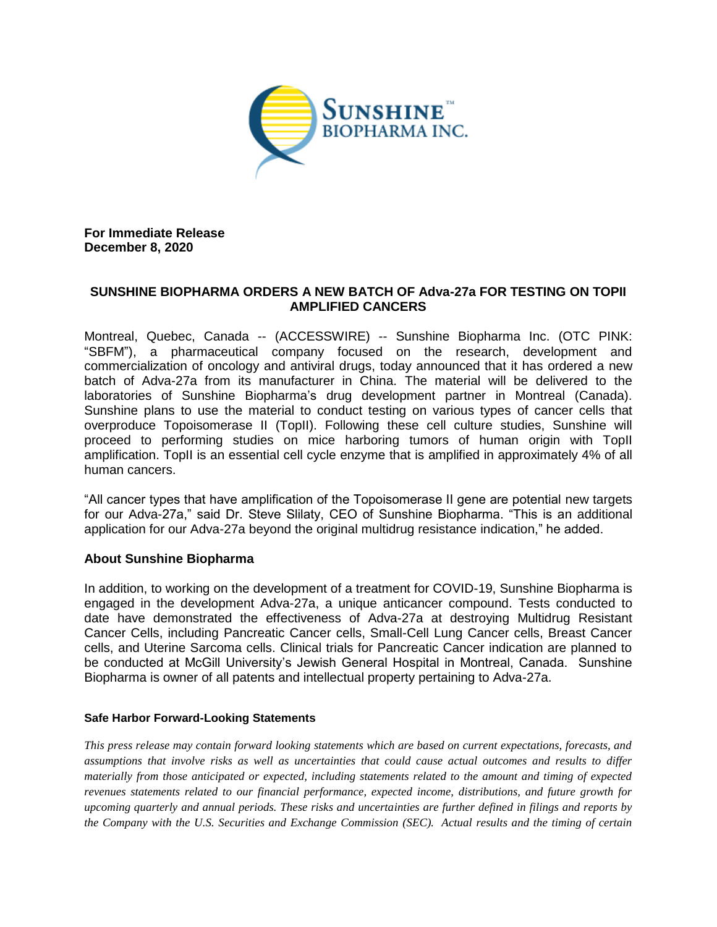

**For Immediate Release December 8, 2020**

## **SUNSHINE BIOPHARMA ORDERS A NEW BATCH OF Adva-27a FOR TESTING ON TOPII AMPLIFIED CANCERS**

Montreal, Quebec, Canada -- (ACCESSWIRE) -- Sunshine Biopharma Inc. (OTC PINK: "SBFM"), a pharmaceutical company focused on the research, development and commercialization of oncology and antiviral drugs, today announced that it has ordered a new batch of Adva-27a from its manufacturer in China. The material will be delivered to the laboratories of Sunshine Biopharma's drug development partner in Montreal (Canada). Sunshine plans to use the material to conduct testing on various types of cancer cells that overproduce Topoisomerase II (TopII). Following these cell culture studies, Sunshine will proceed to performing studies on mice harboring tumors of human origin with TopII amplification. TopII is an essential cell cycle enzyme that is amplified in approximately 4% of all human cancers.

"All cancer types that have amplification of the Topoisomerase II gene are potential new targets for our Adva-27a," said Dr. Steve Slilaty, CEO of Sunshine Biopharma. "This is an additional application for our Adva-27a beyond the original multidrug resistance indication," he added.

## **About Sunshine Biopharma**

In addition, to working on the development of a treatment for COVID-19, Sunshine Biopharma is engaged in the development Adva-27a, a unique anticancer compound. Tests conducted to date have demonstrated the effectiveness of Adva-27a at destroying Multidrug Resistant Cancer Cells, including Pancreatic Cancer cells, Small-Cell Lung Cancer cells, Breast Cancer cells, and Uterine Sarcoma cells. Clinical trials for Pancreatic Cancer indication are planned to be conducted at McGill University's Jewish General Hospital in Montreal, Canada. Sunshine Biopharma is owner of all patents and intellectual property pertaining to Adva-27a.

## **Safe Harbor Forward-Looking Statements**

*This press release may contain forward looking statements which are based on current expectations, forecasts, and assumptions that involve risks as well as uncertainties that could cause actual outcomes and results to differ materially from those anticipated or expected, including statements related to the amount and timing of expected revenues statements related to our financial performance, expected income, distributions, and future growth for upcoming quarterly and annual periods. These risks and uncertainties are further defined in filings and reports by the Company with the U.S. Securities and Exchange Commission (SEC). Actual results and the timing of certain*